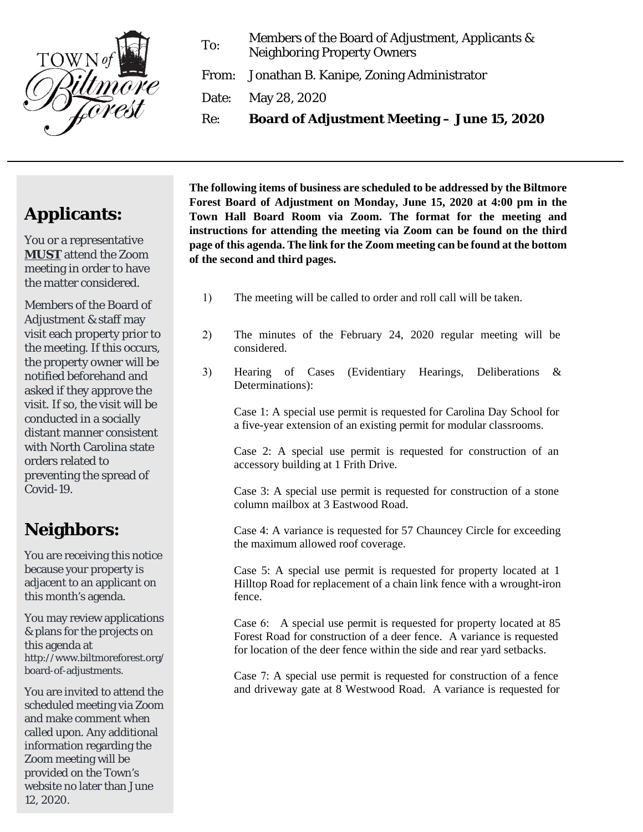

To: Members of the Board of Adjustment, Applicants & Neighboring Property Owners

From: Jonathan B. Kanipe, Zoning Administrator

Date: May 28, 2020

Re: **Board of Adjustment Meeting – June 15, 2020**

## **Applicants:**

You or a representative **MUST** attend the Zoom meeting in order to have the matter considered.

Members of the Board of Adjustment & staff may visit each property prior to the meeting. If this occurs, the property owner will be notified beforehand and asked if they approve the visit. If so, the visit will be conducted in a socially distant manner consistent with North Carolina state orders related to preventing the spread of Covid-19.

## **Neighbors:**

You are receiving this notice because your property is adjacent to an applicant on this month's agenda.

You may review applications & plans for the projects on this agenda at http://www.biltmoreforest.org/ board-of-adjustments.

You are invited to attend the scheduled meeting via Zoom and make comment when called upon. Any additional information regarding the Zoom meeting will be provided on the Town's website no later than June 12, 2020.

**The following items of business are scheduled to be addressed by the Biltmore Forest Board of Adjustment on Monday, June 15, 2020 at 4:00 pm in the Town Hall Board Room via Zoom. The format for the meeting and instructions for attending the meeting via Zoom can be found on the third page of this agenda. The link for the Zoom meeting can be found at the bottom of the second and third pages.**

- 1) The meeting will be called to order and roll call will be taken.
- 2) The minutes of the February 24, 2020 regular meeting will be considered.
- 3) Hearing of Cases (Evidentiary Hearings, Deliberations & Determinations):

Case 1: A special use permit is requested for Carolina Day School for a five-year extension of an existing permit for modular classrooms.

Case 2: A special use permit is requested for construction of an accessory building at 1 Frith Drive.

Case 3: A special use permit is requested for construction of a stone column mailbox at 3 Eastwood Road.

Case 4: A variance is requested for 57 Chauncey Circle for exceeding the maximum allowed roof coverage.

Case 5: A special use permit is requested for property located at 1 Hilltop Road for replacement of a chain link fence with a wrought-iron fence.

Case 6: A special use permit is requested for property located at 85 Forest Road for construction of a deer fence. A variance is requested for location of the deer fence within the side and rear yard setbacks.

Case 7: A special use permit is requested for construction of a fence and driveway gate at 8 Westwood Road. A variance is requested for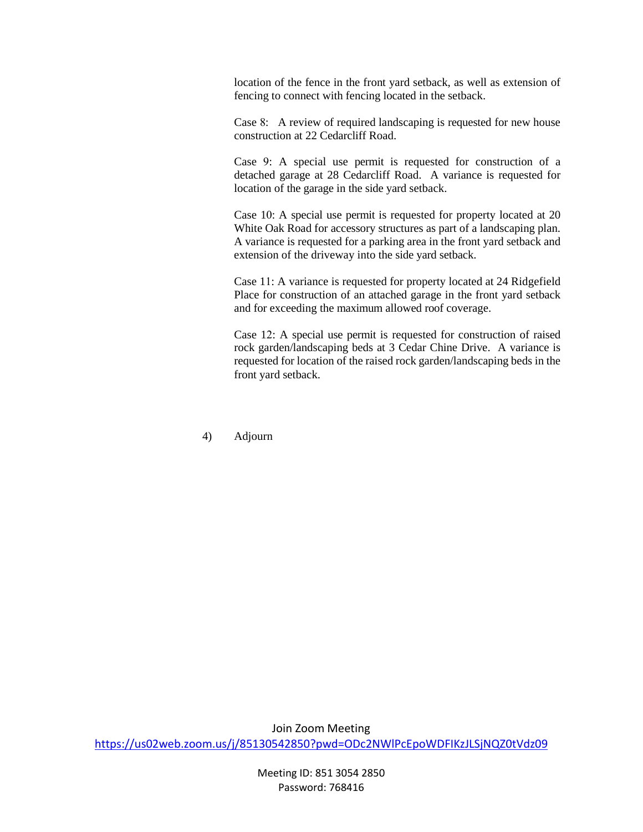location of the fence in the front yard setback, as well as extension of fencing to connect with fencing located in the setback.

Case 8: A review of required landscaping is requested for new house construction at 22 Cedarcliff Road.

Case 9: A special use permit is requested for construction of a detached garage at 28 Cedarcliff Road. A variance is requested for location of the garage in the side yard setback.

Case 10: A special use permit is requested for property located at 20 White Oak Road for accessory structures as part of a landscaping plan. A variance is requested for a parking area in the front yard setback and extension of the driveway into the side yard setback.

Case 11: A variance is requested for property located at 24 Ridgefield Place for construction of an attached garage in the front yard setback and for exceeding the maximum allowed roof coverage.

Case 12: A special use permit is requested for construction of raised rock garden/landscaping beds at 3 Cedar Chine Drive. A variance is requested for location of the raised rock garden/landscaping beds in the front yard setback.

4) Adjourn